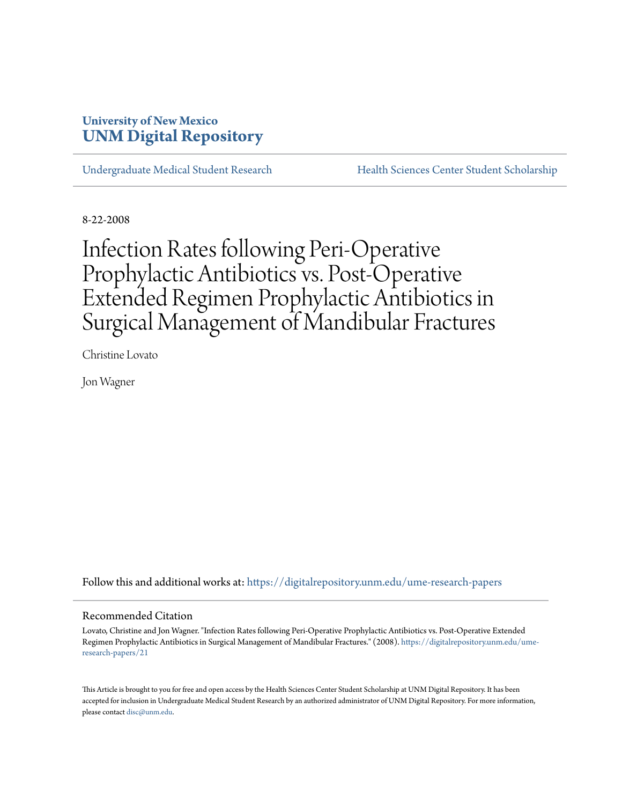## **University of New Mexico [UNM Digital Repository](https://digitalrepository.unm.edu?utm_source=digitalrepository.unm.edu%2Fume-research-papers%2F21&utm_medium=PDF&utm_campaign=PDFCoverPages)**

[Undergraduate Medical Student Research](https://digitalrepository.unm.edu/ume-research-papers?utm_source=digitalrepository.unm.edu%2Fume-research-papers%2F21&utm_medium=PDF&utm_campaign=PDFCoverPages) [Health Sciences Center Student Scholarship](https://digitalrepository.unm.edu/hsc-students?utm_source=digitalrepository.unm.edu%2Fume-research-papers%2F21&utm_medium=PDF&utm_campaign=PDFCoverPages)

8-22-2008

# Infection Rates following Peri-Operative Prophylactic Antibiotics vs. Post-Operative Extended Regimen Prophylactic Antibiotics in Surgical Management of Mandibular Fractures

Christine Lovato

Jon Wagner

Follow this and additional works at: [https://digitalrepository.unm.edu/ume-research-papers](https://digitalrepository.unm.edu/ume-research-papers?utm_source=digitalrepository.unm.edu%2Fume-research-papers%2F21&utm_medium=PDF&utm_campaign=PDFCoverPages)

#### Recommended Citation

Lovato, Christine and Jon Wagner. "Infection Rates following Peri-Operative Prophylactic Antibiotics vs. Post-Operative Extended Regimen Prophylactic Antibiotics in Surgical Management of Mandibular Fractures." (2008). [https://digitalrepository.unm.edu/ume](https://digitalrepository.unm.edu/ume-research-papers/21?utm_source=digitalrepository.unm.edu%2Fume-research-papers%2F21&utm_medium=PDF&utm_campaign=PDFCoverPages)[research-papers/21](https://digitalrepository.unm.edu/ume-research-papers/21?utm_source=digitalrepository.unm.edu%2Fume-research-papers%2F21&utm_medium=PDF&utm_campaign=PDFCoverPages)

This Article is brought to you for free and open access by the Health Sciences Center Student Scholarship at UNM Digital Repository. It has been accepted for inclusion in Undergraduate Medical Student Research by an authorized administrator of UNM Digital Repository. For more information, please contact [disc@unm.edu.](mailto:disc@unm.edu)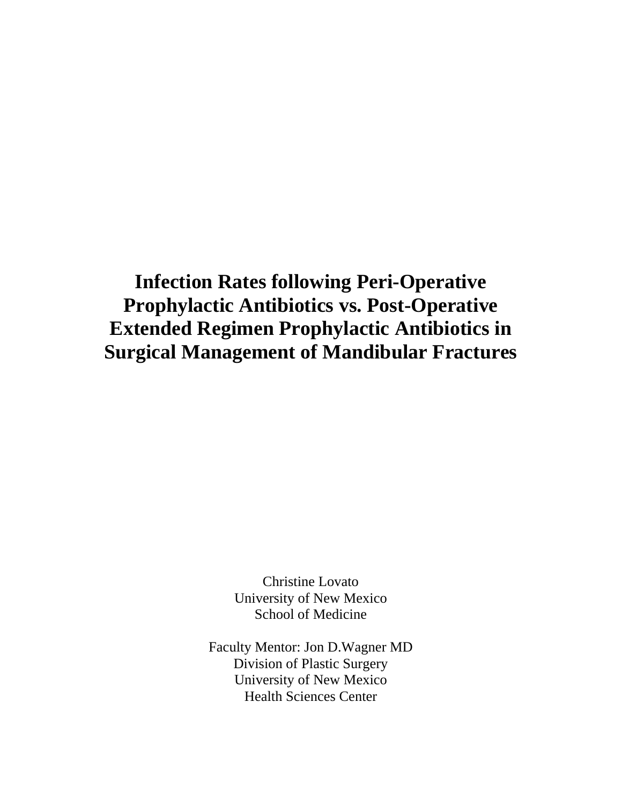## **Infection Rates following Peri-Operative Prophylactic Antibiotics vs. Post-Operative Extended Regimen Prophylactic Antibiotics in Surgical Management of Mandibular Fractures**

Christine Lovato University of New Mexico School of Medicine

Faculty Mentor: Jon D.Wagner MD Division of Plastic Surgery University of New Mexico Health Sciences Center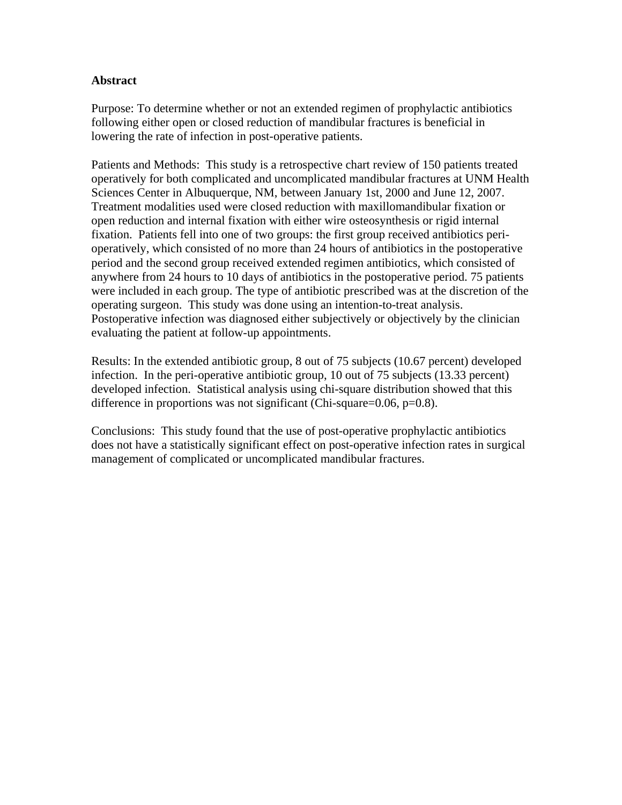## **Abstract**

Purpose: To determine whether or not an extended regimen of prophylactic antibiotics following either open or closed reduction of mandibular fractures is beneficial in lowering the rate of infection in post-operative patients.

Patients and Methods: This study is a retrospective chart review of 150 patients treated operatively for both complicated and uncomplicated mandibular fractures at UNM Health Sciences Center in Albuquerque, NM, between January 1st, 2000 and June 12, 2007. Treatment modalities used were closed reduction with maxillomandibular fixation or open reduction and internal fixation with either wire osteosynthesis or rigid internal fixation. Patients fell into one of two groups: the first group received antibiotics perioperatively, which consisted of no more than 24 hours of antibiotics in the postoperative period and the second group received extended regimen antibiotics, which consisted of anywhere from 24 hours to 10 days of antibiotics in the postoperative period. 75 patients were included in each group. The type of antibiotic prescribed was at the discretion of the operating surgeon. This study was done using an intention-to-treat analysis. Postoperative infection was diagnosed either subjectively or objectively by the clinician evaluating the patient at follow-up appointments.

Results: In the extended antibiotic group, 8 out of 75 subjects (10.67 percent) developed infection. In the peri-operative antibiotic group, 10 out of 75 subjects (13.33 percent) developed infection. Statistical analysis using chi-square distribution showed that this difference in proportions was not significant (Chi-square= $0.06$ , p= $0.8$ ).

Conclusions: This study found that the use of post-operative prophylactic antibiotics does not have a statistically significant effect on post-operative infection rates in surgical management of complicated or uncomplicated mandibular fractures.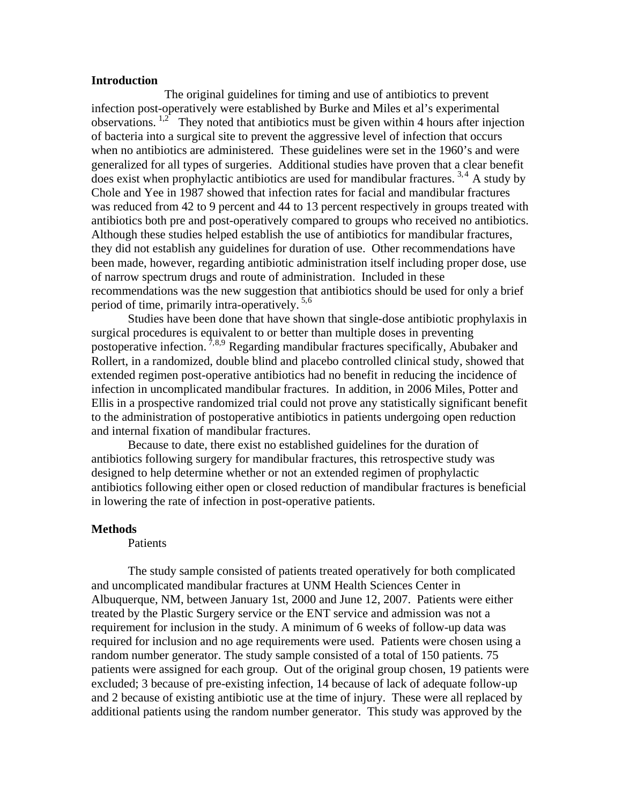#### **Introduction**

 The original guidelines for timing and use of antibiotics to prevent infection post-operatively were established by Burke and Miles et al's experimental observations.  $1,2$  They noted that antibiotics must be given within 4 hours after injection of bacteria into a surgical site to prevent the aggressive level of infection that occurs when no antibiotics are administered. These guidelines were set in the 1960's and were generalized for all types of surgeries. Additional studies have proven that a clear benefit does exist when prophylactic antibiotics are used for mandibular fractures.  $3,4$  $3,4$  A study by Chole and Yee in 1987 showed that infection rates for facial and mandibular fractures was reduced from 42 to 9 percent and 44 to 13 percent respectively in groups treated with antibiotics both pre and post-operatively compared to groups who received no antibiotics. Although these studies helped establish the use of antibiotics for mandibular fractures, they did not establish any guidelines for duration of use. Other recommendations have been made, however, regarding antibiotic administration itself including proper dose, use of narrow spectrum drugs and route of administration. Included in these recommendations was the new suggestion that antibiotics should be used for only a brief period of time, primarily intra-operatively. 5,[6](#page-10-1)

 Studies have been done that have shown that single-dose antibiotic prophylaxis in surgical procedures is equivalent to or better than multiple doses in preventing postoperative infection. 7,[8,9](#page-10-1) Regarding mandibular fractures specifically, Abubaker and Rollert, in a randomized, double blind and placebo controlled clinical study, showed that extended regimen post-operative antibiotics had no benefit in reducing the incidence of infection in uncomplicated mandibular fractures. In addition, in 2006 Miles, Potter and Ellis in a prospective randomized trial could not prove any statistically significant benefit to the administration of postoperative antibiotics in patients undergoing open reduction and internal fixation of mandibular fractures.

 Because to date, there exist no established guidelines for the duration of antibiotics following surgery for mandibular fractures, this retrospective study was designed to help determine whether or not an extended regimen of prophylactic antibiotics following either open or closed reduction of mandibular fractures is beneficial in lowering the rate of infection in post-operative patients.

#### **Methods**

#### Patients

 The study sample consisted of patients treated operatively for both complicated and uncomplicated mandibular fractures at UNM Health Sciences Center in Albuquerque, NM, between January 1st, 2000 and June 12, 2007. Patients were either treated by the Plastic Surgery service or the ENT service and admission was not a requirement for inclusion in the study. A minimum of 6 weeks of follow-up data was required for inclusion and no age requirements were used. Patients were chosen using a random number generator. The study sample consisted of a total of 150 patients. 75 patients were assigned for each group. Out of the original group chosen, 19 patients were excluded; 3 because of pre-existing infection, 14 because of lack of adequate follow-up and 2 because of existing antibiotic use at the time of injury. These were all replaced by additional patients using the random number generator. This study was approved by the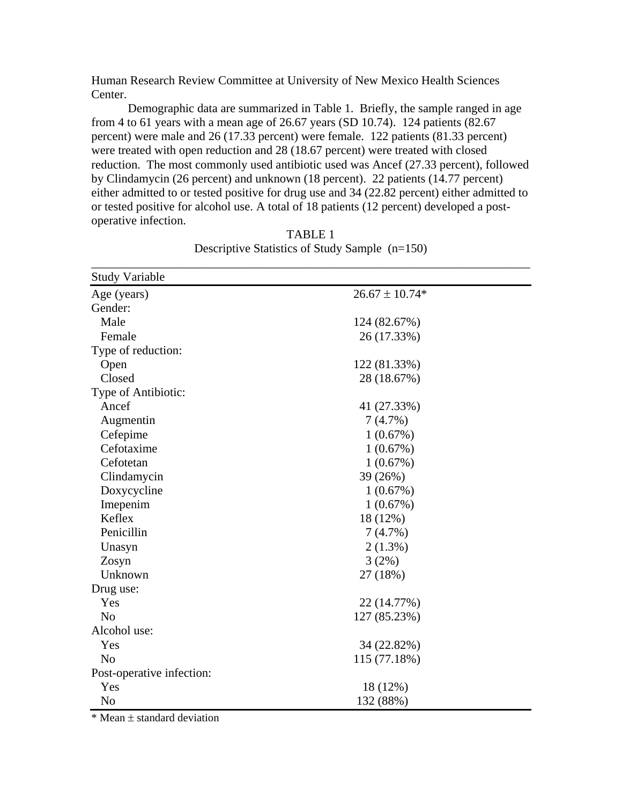Human Research Review Committee at University of New Mexico Health Sciences Center.

 Demographic data are summarized in Table 1. Briefly, the sample ranged in age from 4 to 61 years with a mean age of 26.67 years (SD 10.74). 124 patients (82.67 percent) were male and 26 (17.33 percent) were female. 122 patients (81.33 percent) were treated with open reduction and 28 (18.67 percent) were treated with closed reduction. The most commonly used antibiotic used was Ancef (27.33 percent), followed by Clindamycin (26 percent) and unknown (18 percent). 22 patients (14.77 percent) either admitted to or tested positive for drug use and 34 (22.82 percent) either admitted to or tested positive for alcohol use. A total of 18 patients (12 percent) developed a postoperative infection.

| <b>Study Variable</b>     |                    |  |
|---------------------------|--------------------|--|
| Age (years)               | $26.67 \pm 10.74*$ |  |
| Gender:                   |                    |  |
| Male                      | 124 (82.67%)       |  |
| Female                    | 26 (17.33%)        |  |
| Type of reduction:        |                    |  |
| Open                      | 122 (81.33%)       |  |
| Closed                    | 28 (18.67%)        |  |
| Type of Antibiotic:       |                    |  |
| Ancef                     | 41 (27.33%)        |  |
| Augmentin                 | 7(4.7%)            |  |
| Cefepime                  | 1(0.67%)           |  |
| Cefotaxime                | 1(0.67%)           |  |
| Cefotetan                 | 1(0.67%)           |  |
| Clindamycin               | 39 (26%)           |  |
| Doxycycline               | 1(0.67%)           |  |
| Imepenim                  | 1(0.67%)           |  |
| Keflex                    | 18 (12%)           |  |
| Penicillin                | 7(4.7%)            |  |
| Unasyn                    | $2(1.3\%)$         |  |
| Zosyn                     | 3(2%)              |  |
| Unknown                   | 27 (18%)           |  |
| Drug use:                 |                    |  |
| Yes                       | 22 (14.77%)        |  |
| N <sub>o</sub>            | 127 (85.23%)       |  |
| Alcohol use:              |                    |  |
| Yes                       | 34 (22.82%)        |  |
| N <sub>o</sub>            | 115 (77.18%)       |  |
| Post-operative infection: |                    |  |
| Yes                       | 18 (12%)           |  |
| N <sub>o</sub>            | 132 (88%)          |  |

TABLE 1 Descriptive Statistics of Study Sample (n=150) \_\_\_\_\_\_\_\_\_\_\_\_\_\_\_\_\_\_\_\_\_\_\_\_\_\_\_\_\_\_\_\_\_\_\_\_\_\_\_\_\_\_\_\_\_\_\_\_\_\_\_\_\_\_\_\_\_\_\_\_\_\_\_\_\_\_\_\_\_\_\_\_

 $*$  Mean  $\pm$  standard deviation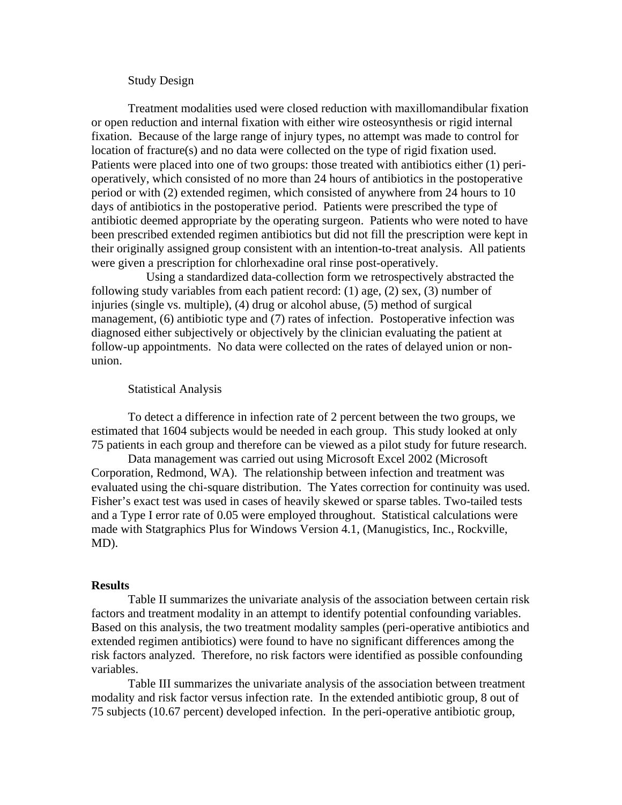## Study Design

Treatment modalities used were closed reduction with maxillomandibular fixation or open reduction and internal fixation with either wire osteosynthesis or rigid internal fixation. Because of the large range of injury types, no attempt was made to control for location of fracture(s) and no data were collected on the type of rigid fixation used. Patients were placed into one of two groups: those treated with antibiotics either (1) perioperatively, which consisted of no more than 24 hours of antibiotics in the postoperative period or with (2) extended regimen, which consisted of anywhere from 24 hours to 10 days of antibiotics in the postoperative period. Patients were prescribed the type of antibiotic deemed appropriate by the operating surgeon. Patients who were noted to have been prescribed extended regimen antibiotics but did not fill the prescription were kept in their originally assigned group consistent with an intention-to-treat analysis. All patients were given a prescription for chlorhexadine oral rinse post-operatively.

 Using a standardized data-collection form we retrospectively abstracted the following study variables from each patient record: (1) age, (2) sex, (3) number of injuries (single vs. multiple), (4) drug or alcohol abuse, (5) method of surgical management, (6) antibiotic type and (7) rates of infection. Postoperative infection was diagnosed either subjectively or objectively by the clinician evaluating the patient at follow-up appointments. No data were collected on the rates of delayed union or nonunion.

#### Statistical Analysis

 To detect a difference in infection rate of 2 percent between the two groups, we estimated that 1604 subjects would be needed in each group. This study looked at only 75 patients in each group and therefore can be viewed as a pilot study for future research.

 Data management was carried out using Microsoft Excel 2002 (Microsoft Corporation, Redmond, WA). The relationship between infection and treatment was evaluated using the chi-square distribution. The Yates correction for continuity was used. Fisher's exact test was used in cases of heavily skewed or sparse tables. Two-tailed tests and a Type I error rate of 0.05 were employed throughout. Statistical calculations were made with Statgraphics Plus for Windows Version 4.1, (Manugistics, Inc., Rockville, MD).

#### **Results**

 Table II summarizes the univariate analysis of the association between certain risk factors and treatment modality in an attempt to identify potential confounding variables. Based on this analysis, the two treatment modality samples (peri-operative antibiotics and extended regimen antibiotics) were found to have no significant differences among the risk factors analyzed. Therefore, no risk factors were identified as possible confounding variables.

 Table III summarizes the univariate analysis of the association between treatment modality and risk factor versus infection rate. In the extended antibiotic group, 8 out of 75 subjects (10.67 percent) developed infection. In the peri-operative antibiotic group,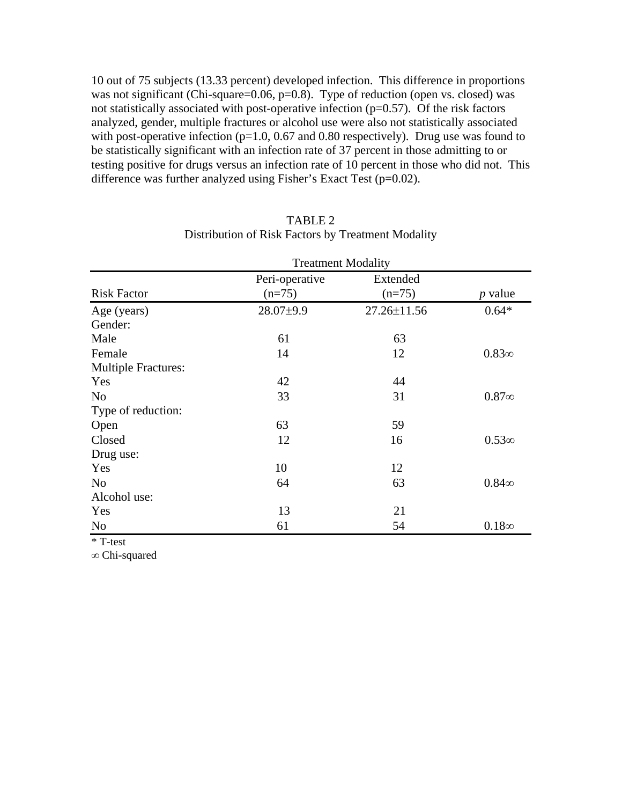10 out of 75 subjects (13.33 percent) developed infection. This difference in proportions was not significant (Chi-square=0.06, p=0.8). Type of reduction (open vs. closed) was not statistically associated with post-operative infection  $(p=0.57)$ . Of the risk factors analyzed, gender, multiple fractures or alcohol use were also not statistically associated with post-operative infection ( $p=1.0$ , 0.67 and 0.80 respectively). Drug use was found to be statistically significant with an infection rate of 37 percent in those admitting to or testing positive for drugs versus an infection rate of 10 percent in those who did not. This difference was further analyzed using Fisher's Exact Test ( $p=0.02$ ).

|                            | <b>Treatment Modality</b>  |                      |                |  |
|----------------------------|----------------------------|----------------------|----------------|--|
| <b>Risk Factor</b>         | Peri-operative<br>$(n=75)$ | Extended<br>$(n=75)$ | <i>p</i> value |  |
| Age (years)                | 28.07±9.9                  | 27.26±11.56          | $0.64*$        |  |
| Gender:                    |                            |                      |                |  |
| Male                       | 61                         | 63                   |                |  |
| Female                     | 14                         | 12                   | $0.83\infty$   |  |
| <b>Multiple Fractures:</b> |                            |                      |                |  |
| Yes                        | 42                         | 44                   |                |  |
| N <sub>0</sub>             | 33                         | 31                   | $0.87\infty$   |  |
| Type of reduction:         |                            |                      |                |  |
| Open                       | 63                         | 59                   |                |  |
| Closed                     | 12                         | 16                   | $0.53\infty$   |  |
| Drug use:                  |                            |                      |                |  |
| Yes                        | 10                         | 12                   |                |  |
| N <sub>0</sub>             | 64                         | 63                   | $0.84\infty$   |  |
| Alcohol use:               |                            |                      |                |  |
| Yes                        | 13                         | 21                   |                |  |
| N <sub>o</sub>             | 61                         | 54                   | $0.18\infty$   |  |

## TABLE 2 Distribution of Risk Factors by Treatment Modality

\* T-test

∞ Chi-squared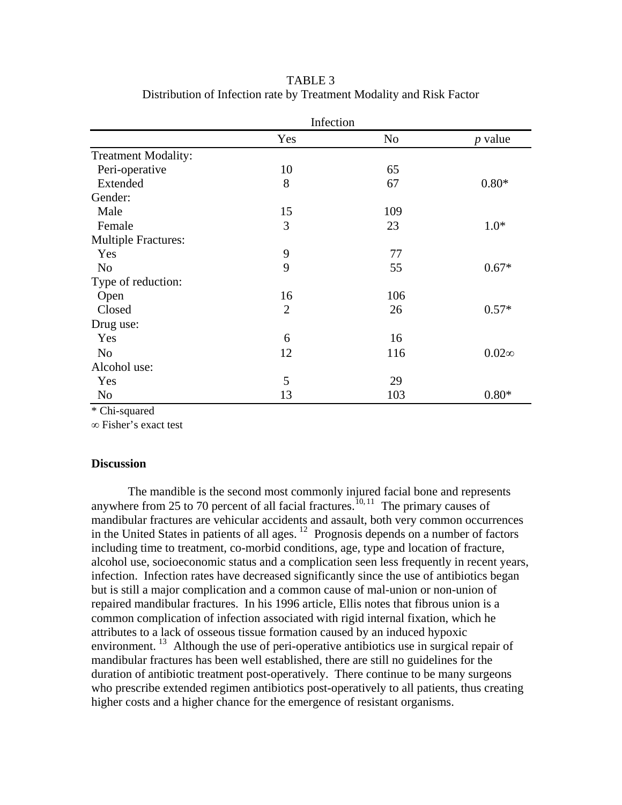|                            | Infection      |     |                |  |
|----------------------------|----------------|-----|----------------|--|
|                            | Yes            | No  | <i>p</i> value |  |
| <b>Treatment Modality:</b> |                |     |                |  |
| Peri-operative             | 10             | 65  |                |  |
| Extended                   | 8              | 67  | $0.80*$        |  |
| Gender:                    |                |     |                |  |
| Male                       | 15             | 109 |                |  |
| Female                     | 3              | 23  | $1.0*$         |  |
| <b>Multiple Fractures:</b> |                |     |                |  |
| Yes                        | 9              | 77  |                |  |
| N <sub>o</sub>             | 9              | 55  | $0.67*$        |  |
| Type of reduction:         |                |     |                |  |
| Open                       | 16             | 106 |                |  |
| Closed                     | $\overline{2}$ | 26  | $0.57*$        |  |
| Drug use:                  |                |     |                |  |
| Yes                        | 6              | 16  |                |  |
| N <sub>o</sub>             | 12             | 116 | $0.02\infty$   |  |
| Alcohol use:               |                |     |                |  |
| Yes                        | 5              | 29  |                |  |
| N <sub>0</sub>             | 13             | 103 | $0.80*$        |  |

TABLE 3 Distribution of Infection rate by Treatment Modality and Risk Factor

\* Chi-squared

∞ Fisher's exact test

### **Discussion**

 The mandible is the second most commonly injured facial bone and represents anywhere from 25 to 70 percent of all facial fractures.<sup>[10, 11](#page-10-1)</sup> The primary causes of mandibular fractures are vehicular accidents and assault, both very common occurrences in the United States in patients of all ages.  $12$  Prognosis depends on a number of factors including time to treatment, co-morbid conditions, age, type and location of fracture, alcohol use, socioeconomic status and a complication seen less frequently in recent years, infection. Infection rates have decreased significantly since the use of antibiotics began but is still a major complication and a common cause of mal-union or non-union of repaired mandibular fractures. In his 1996 article, Ellis notes that fibrous union is a common complication of infection associated with rigid internal fixation, which he attributes to a lack of osseous tissue formation caused by an induced hypoxic environment.<sup>[13](#page-11-0)</sup> Although the use of peri-operative antibiotics use in surgical repair of mandibular fractures has been well established, there are still no guidelines for the duration of antibiotic treatment post-operatively. There continue to be many surgeons who prescribe extended regimen antibiotics post-operatively to all patients, thus creating higher costs and a higher chance for the emergence of resistant organisms.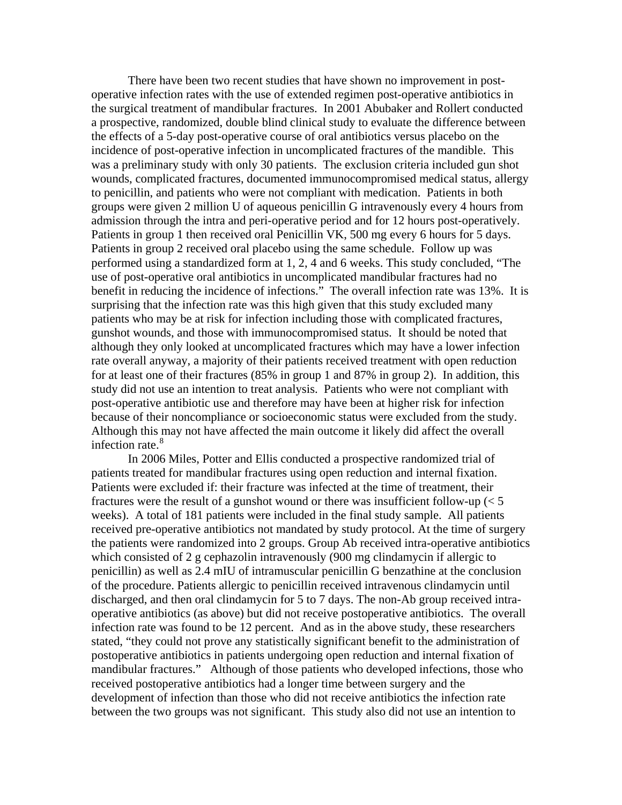There have been two recent studies that have shown no improvement in postoperative infection rates with the use of extended regimen post-operative antibiotics in the surgical treatment of mandibular fractures. In 2001 Abubaker and Rollert conducted a prospective, randomized, double blind clinical study to evaluate the difference between the effects of a 5-day post-operative course of oral antibiotics versus placebo on the incidence of post-operative infection in uncomplicated fractures of the mandible. This was a preliminary study with only 30 patients. The exclusion criteria included gun shot wounds, complicated fractures, documented immunocompromised medical status, allergy to penicillin, and patients who were not compliant with medication. Patients in both groups were given 2 million U of aqueous penicillin G intravenously every 4 hours from admission through the intra and peri-operative period and for 12 hours post-operatively. Patients in group 1 then received oral Penicillin VK, 500 mg every 6 hours for 5 days. Patients in group 2 received oral placebo using the same schedule. Follow up was performed using a standardized form at 1, 2, 4 and 6 weeks. This study concluded, "The use of post-operative oral antibiotics in uncomplicated mandibular fractures had no benefit in reducing the incidence of infections." The overall infection rate was 13%. It is surprising that the infection rate was this high given that this study excluded many patients who may be at risk for infection including those with complicated fractures, gunshot wounds, and those with immunocompromised status. It should be noted that although they only looked at uncomplicated fractures which may have a lower infection rate overall anyway, a majority of their patients received treatment with open reduction for at least one of their fractures (85% in group 1 and 87% in group 2). In addition, this study did not use an intention to treat analysis. Patients who were not compliant with post-operative antibiotic use and therefore may have been at higher risk for infection because of their noncompliance or socioeconomic status were excluded from the study. Although this may not have affected the main outcome it likely did affect the overall infection rate.<sup>[8](#page-11-0)</sup>

 In 2006 Miles, Potter and Ellis conducted a prospective randomized trial of patients treated for mandibular fractures using open reduction and internal fixation. Patients were excluded if: their fracture was infected at the time of treatment, their fractures were the result of a gunshot wound or there was insufficient follow-up  $\leq 5$ weeks). A total of 181 patients were included in the final study sample. All patients received pre-operative antibiotics not mandated by study protocol. At the time of surgery the patients were randomized into 2 groups. Group Ab received intra-operative antibiotics which consisted of 2 g cephazolin intravenously (900 mg clindamycin if allergic to penicillin) as well as 2.4 mIU of intramuscular penicillin G benzathine at the conclusion of the procedure. Patients allergic to penicillin received intravenous clindamycin until discharged, and then oral clindamycin for 5 to 7 days. The non-Ab group received intraoperative antibiotics (as above) but did not receive postoperative antibiotics. The overall infection rate was found to be 12 percent. And as in the above study, these researchers stated, "they could not prove any statistically significant benefit to the administration of postoperative antibiotics in patients undergoing open reduction and internal fixation of mandibular fractures." Although of those patients who developed infections, those who received postoperative antibiotics had a longer time between surgery and the development of infection than those who did not receive antibiotics the infection rate between the two groups was not significant. This study also did not use an intention to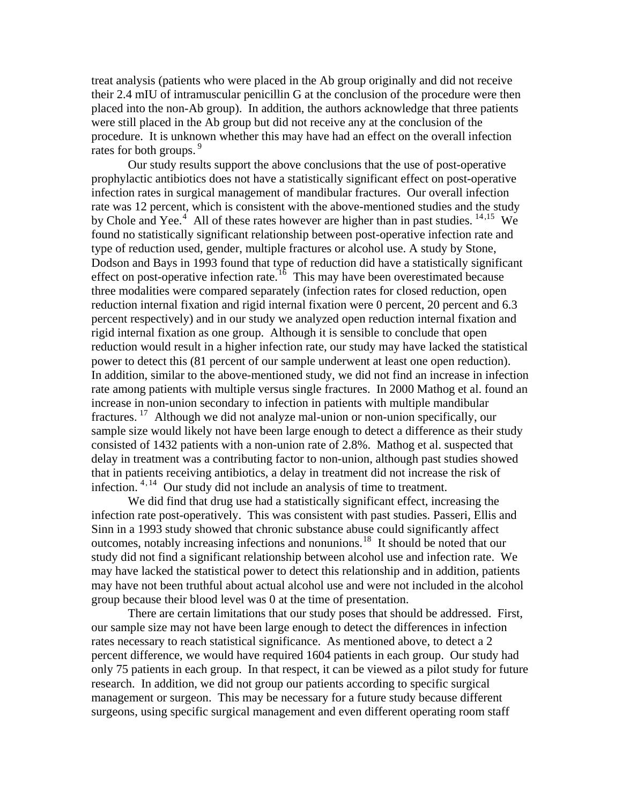treat analysis (patients who were placed in the Ab group originally and did not receive their 2.4 mIU of intramuscular penicillin G at the conclusion of the procedure were then placed into the non-Ab group). In addition, the authors acknowledge that three patients were still placed in the Ab group but did not receive any at the conclusion of the procedure. It is unknown whether this may have had an effect on the overall infection rates for both groups.<sup>9</sup>

 Our study results support the above conclusions that the use of post-operative prophylactic antibiotics does not have a statistically significant effect on post-operative infection rates in surgical management of mandibular fractures. Our overall infection rate was 12 percent, which is consistent with the above-mentioned studies and the study by Chole and Yee.<sup>[4](#page-11-0)</sup> All of these rates however are higher than in past studies.  $14,15$  $14,15$  We found no statistically significant relationship between post-operative infection rate and type of reduction used, gender, multiple fractures or alcohol use. A study by Stone, Dodson and Bays in 1993 found that type of reduction did have a statistically significant effect on post-operative infection rate.<sup>[16](#page-11-0)</sup> This may have been overestimated because three modalities were compared separately (infection rates for closed reduction, open reduction internal fixation and rigid internal fixation were 0 percent, 20 percent and 6.3 percent respectively) and in our study we analyzed open reduction internal fixation and rigid internal fixation as one group. Although it is sensible to conclude that open reduction would result in a higher infection rate, our study may have lacked the statistical power to detect this (81 percent of our sample underwent at least one open reduction). In addition, similar to the above-mentioned study, we did not find an increase in infection rate among patients with multiple versus single fractures. In 2000 [Mathog](http://www.ncbi.nlm.nih.gov.libproxy.unm.edu/sites/entrez?Db=PubMed&Cmd=Search&Term=%2522Mathog%20RH%2522%255BAuthor%255D&itool=EntrezSystem2.PEntrez.Pubmed.Pubmed_ResultsPanel.Pubmed_RVAbstractPlus) et al. found an increase in non-union secondary to infection in patients with multiple mandibular fractures. [17](#page-11-0) Although we did not analyze mal-union or non-union specifically, our sample size would likely not have been large enough to detect a difference as their study consisted of 1432 patients with a non-union rate of 2.8%. Mathog et al. suspected that delay in treatment was a contributing factor to non-union, although past studies showed that in patients receiving antibiotics, a delay in treatment did not increase the risk of infection. <sup>4, [14](#page-11-0)</sup> Our study did not include an analysis of time to treatment.

 We did find that drug use had a statistically significant effect, increasing the infection rate post-operatively. This was consistent with past studies. Passeri, Ellis and Sinn in a 1993 study showed that chronic substance abuse could significantly affect outcomes, notably increasing infections and nonunions.[18](#page-11-0) It should be noted that our study did not find a significant relationship between alcohol use and infection rate. We may have lacked the statistical power to detect this relationship and in addition, patients may have not been truthful about actual alcohol use and were not included in the alcohol group because their blood level was 0 at the time of presentation.

 There are certain limitations that our study poses that should be addressed. First, our sample size may not have been large enough to detect the differences in infection rates necessary to reach statistical significance. As mentioned above, to detect a 2 percent difference, we would have required 1604 patients in each group. Our study had only 75 patients in each group. In that respect, it can be viewed as a pilot study for future research. In addition, we did not group our patients according to specific surgical management or surgeon. This may be necessary for a future study because different surgeons, using specific surgical management and even different operating room staff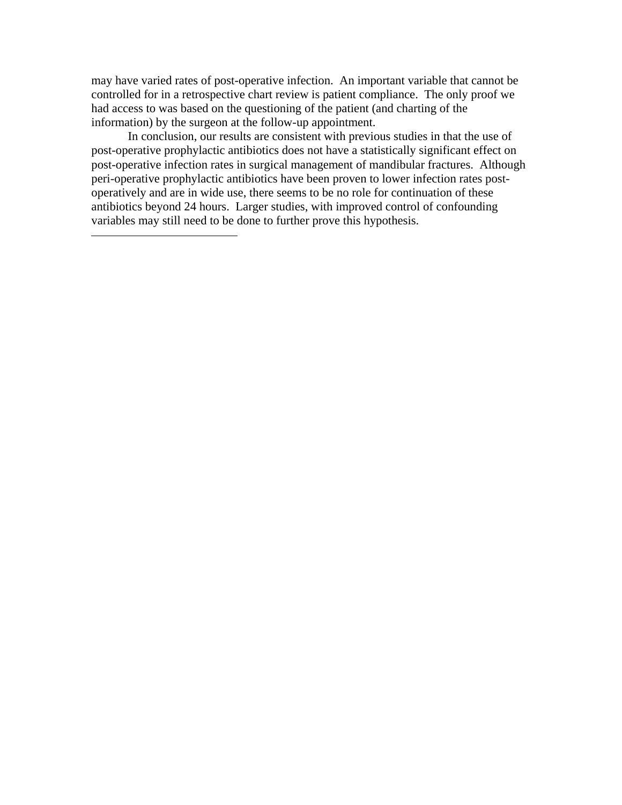<span id="page-10-1"></span>may have varied rates of post-operative infection. An important variable that cannot be controlled for in a retrospective chart review is patient compliance. The only proof we had access to was based on the questioning of the patient (and charting of the information) by the surgeon at the follow-up appointment.

 In conclusion, our results are consistent with previous studies in that the use of post-operative prophylactic antibiotics does not have a statistically significant effect on post-operative infection rates in surgical management of mandibular fractures. Although peri-operative prophylactic antibiotics have been proven to lower infection rates postoperatively and are in wide use, there seems to be no role for continuation of these antibiotics beyond 24 hours. Larger studies, with improved control of confounding variables may still need to be done to further prove this hypothesis.

<span id="page-10-0"></span> $\overline{a}$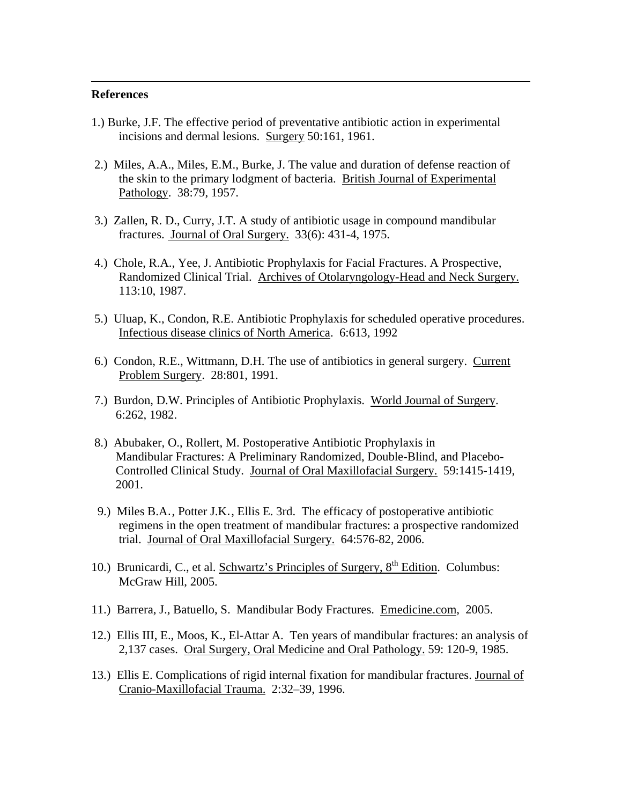### **References**

<span id="page-11-0"></span> $\overline{a}$ 

- 1.) Burke, J.F. The effective period of preventative antibiotic action in experimental incisions and dermal lesions. Surgery 50:161, 1961.
- 2.) Miles, A.A., Miles, E.M., Burke, J. The value and duration of defense reaction of the skin to the primary lodgment of bacteria. British Journal of Experimental Pathology. 38:79, 1957.
- 3.) Zallen, R. D., Curry, J.T. A study of antibiotic usage in compound mandibular fractures. Journal of Oral Surgery. 33(6): 431-4, 1975.
- 4.) Chole, R.A., Yee, J. Antibiotic Prophylaxis for Facial Fractures. A Prospective, Randomized Clinical Trial. Archives of Otolaryngology-Head and Neck Surgery. 113:10, 1987.
- 5.) Uluap, K., Condon, R.E. Antibiotic Prophylaxis for scheduled operative procedures. Infectious disease clinics of North America. 6:613, 1992
- 6.) Condon, R.E., Wittmann, D.H. The use of antibiotics in general surgery. Current Problem Surgery. 28:801, 1991.
- 7.) Burdon, D.W. Principles of Antibiotic Prophylaxis. World Journal of Surgery. 6:262, 1982.
- 8.) Abubaker, O., Rollert, M. Postoperative Antibiotic Prophylaxis in Mandibular Fractures: A Preliminary Randomized, Double-Blind, and Placebo- Controlled Clinical Study. Journal of Oral Maxillofacial Surgery. 59:1415-1419, 2001.
- 9.) [Miles B.A](http://www.ncbi.nlm.nih.gov.libproxy.unm.edu/sites/entrez?Db=PubMed&Cmd=Search&Term=%2522Miles%20BA%2522%255BAuthor%255D&itool=EntrezSystem2.PEntrez.Pubmed.Pubmed_ResultsPanel.Pubmed_RVAbstractPlus)., [Potter J.K](http://www.ncbi.nlm.nih.gov.libproxy.unm.edu/sites/entrez?Db=PubMed&Cmd=Search&Term=%2522Potter%20JK%2522%255BAuthor%255D&itool=EntrezSystem2.PEntrez.Pubmed.Pubmed_ResultsPanel.Pubmed_RVAbstractPlus)., [Ellis E. 3rd](http://www.ncbi.nlm.nih.gov.libproxy.unm.edu/sites/entrez?Db=PubMed&Cmd=Search&Term=%2522Ellis%20E%203rd%2522%255BAuthor%255D&itool=EntrezSystem2.PEntrez.Pubmed.Pubmed_ResultsPanel.Pubmed_RVAbstractPlus). The efficacy of postoperative antibiotic regimens in the open treatment of mandibular fractures: a prospective randomized trial. Journal of Oral Maxillofacial Surgery. 64:576-82, 2006.
- 10.) Brunicardi, C., et al. Schwartz's Principles of Surgery,  $8<sup>th</sup>$  Edition. Columbus: McGraw Hill, 2005.
- 11.) Barrera, J., Batuello, S. Mandibular Body Fractures. Emedicine.com, 2005.
- 12.) Ellis III, E., Moos, K., [El-Attar A](http://www.ncbi.nlm.nih.gov/entrez/query.fcgi?db=PubMed&cmd=Search&itool=PubMed_Abstract&term=%22el%2DAttar+A%22%5BAuthor%5D). Ten years of mandibular fractures: an analysis of 2,137 cases. Oral Surgery, Oral Medicine and Oral Pathology. 59: 120-9, 1985.
- 13.) Ellis E. Complications of rigid internal fixation for mandibular fractures. Journal of Cranio-Maxillofacial Trauma. 2:32–39, 1996.